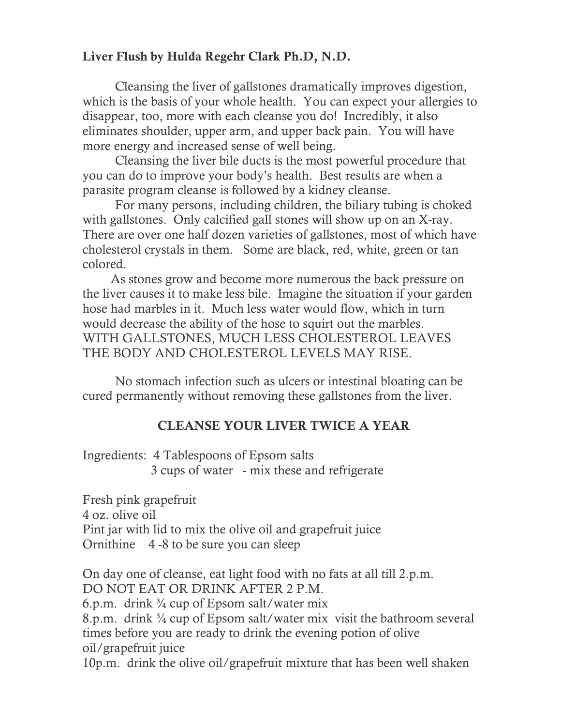## Liver Flush by Hulda Regehr Clark Ph.D, N.D.

Cleansing the liver of gallstones dramatically improves digestion, which is the basis of your whole health. You can expect your allergies to disappear, too, more with each cleanse you do! Incredibly, it also eliminates shoulder, upper arm, and upper back pain. You will have more energy and increased sense of well being.

 Cleansing the liver bile ducts is the most powerful procedure that you can do to improve your body's health. Best results are when a parasite program cleanse is followed by a kidney cleanse.

 For many persons, including children, the biliary tubing is choked with gallstones. Only calcified gall stones will show up on an X-ray. There are over one half dozen varieties of gallstones, most of which have cholesterol crystals in them. Some are black, red, white, green or tan colored.

 As stones grow and become more numerous the back pressure on the liver causes it to make less bile. Imagine the situation if your garden hose had marbles in it. Much less water would flow, which in turn would decrease the ability of the hose to squirt out the marbles. WITH GALLSTONES, MUCH LESS CHOLESTEROL LEAVES THE BODY AND CHOLESTEROL LEVELS MAY RISE.

 No stomach infection such as ulcers or intestinal bloating can be cured permanently without removing these gallstones from the liver.

## CLEANSE YOUR LIVER TWICE A YEAR

Ingredients: 4 Tablespoons of Epsom salts 3 cups of water - mix these and refrigerate

Fresh pink grapefruit 4 oz. olive oil Pint jar with lid to mix the olive oil and grapefruit juice Ornithine 4 -8 to be sure you can sleep

On day one of cleanse, eat light food with no fats at all till 2.p.m. DO NOT EAT OR DRINK AFTER 2 P.M. 6.p.m. drink  $\frac{3}{4}$  cup of Epsom salt/water mix 8.p.m. drink <sup>3</sup>/<sub>4</sub> cup of Epsom salt/water mix visit the bathroom several times before you are ready to drink the evening potion of olive oil/grapefruit juice 10p.m. drink the olive oil/grapefruit mixture that has been well shaken